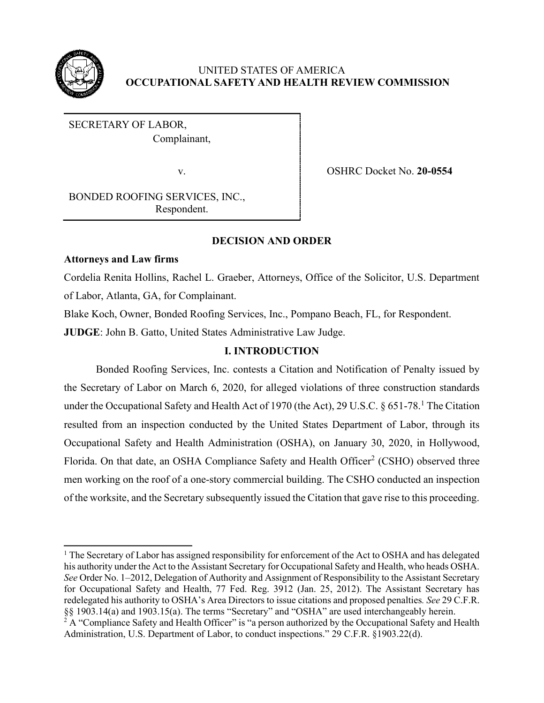

# UNITED STATES OF AMERICA **OCCUPATIONAL SAFETY AND HEALTH REVIEW COMMISSION**

SECRETARY OF LABOR, Complainant,

v. OSHRC Docket No. **20-0554**

BONDED ROOFING SERVICES, INC., Respondent.

# **DECISION AND ORDER**

# **Attorneys and Law firms**

Cordelia Renita Hollins, Rachel L. Graeber, Attorneys, Office of the Solicitor, U.S. Department of Labor, Atlanta, GA, for Complainant.

Blake Koch, Owner, Bonded Roofing Services, Inc., Pompano Beach, FL, for Respondent.

**JUDGE**: John B. Gatto, United States Administrative Law Judge.

# **I. INTRODUCTION**

Bonded Roofing Services, Inc. contests a Citation and Notification of Penalty issued by the Secretary of Labor on March 6, 2020, for alleged violations of three construction standards under the Occupational Safety and Health Act of 1970 (the Act), 29 U.S.C.  $\S 651-78$ .<sup>1</sup> The Citation resulted from an inspection conducted by the United States Department of Labor, through its Occupational Safety and Health Administration (OSHA), on January 30, 2020, in Hollywood, Florida. On that date, an OSHA Compliance Safety and Health Officer<sup>2</sup> (CSHO) observed three men working on the roof of a one-story commercial building. The CSHO conducted an inspection of the worksite, and the Secretary subsequently issued the Citation that gave rise to this proceeding.

<sup>&</sup>lt;sup>1</sup> The Secretary of Labor has assigned responsibility for enforcement of the Act to OSHA and has delegated his authority under the Act to the Assistant Secretary for Occupational Safety and Health, who heads OSHA. *See* Order No. 1–2012, Delegation of Authority and Assignment of Responsibility to the Assistant Secretary for Occupational Safety and Health, 77 Fed. Reg. 3912 (Jan. 25, 2012). The Assistant Secretary has redelegated his authority to OSHA's Area Directors to issue citations and proposed penalties*. See* 29 C.F.R. §§ 1903.14(a) and 1903.15(a). The terms "Secretary" and "OSHA" are used interchangeably herein.

<sup>&</sup>lt;sup>2</sup> A "Compliance Safety and Health Officer" is "a person authorized by the Occupational Safety and Health Administration, U.S. Department of Labor, to conduct inspections." 29 C.F.R. §1903.22(d).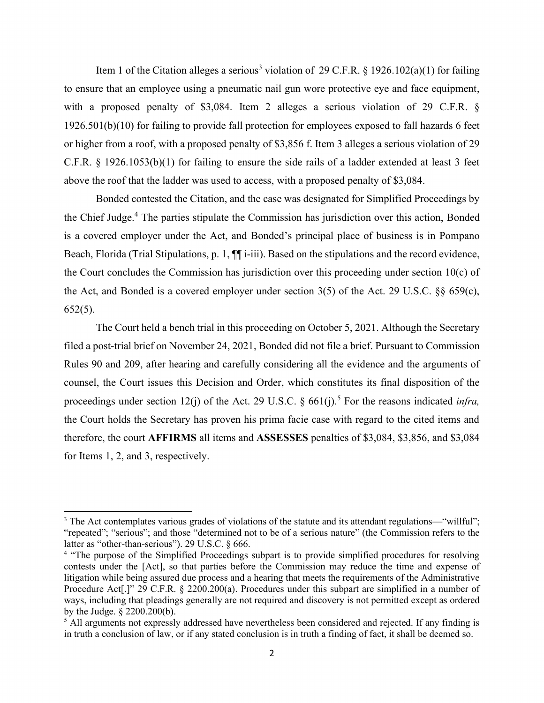Item 1 of the Citation alleges a serious<sup>3</sup> violation of 29 C.F.R. § 1926.102(a)(1) for failing to ensure that an employee using a pneumatic nail gun wore protective eye and face equipment, with a proposed penalty of \$3,084. Item 2 alleges a serious violation of 29 C.F.R. § 1926.501(b)(10) for failing to provide fall protection for employees exposed to fall hazards 6 feet or higher from a roof, with a proposed penalty of \$3,856 f. Item 3 alleges a serious violation of 29 C.F.R. § 1926.1053(b)(1) for failing to ensure the side rails of a ladder extended at least 3 feet above the roof that the ladder was used to access, with a proposed penalty of \$3,084.

Bonded contested the Citation, and the case was designated for Simplified Proceedings by the Chief Judge.<sup>4</sup> The parties stipulate the Commission has jurisdiction over this action, Bonded is a covered employer under the Act, and Bonded's principal place of business is in Pompano Beach, Florida (Trial Stipulations, p. 1, ¶¶ i-iii). Based on the stipulations and the record evidence, the Court concludes the Commission has jurisdiction over this proceeding under section 10(c) of the Act, and Bonded is a covered employer under section 3(5) of the Act. 29 U.S.C. §§ 659(c),  $652(5)$ .

The Court held a bench trial in this proceeding on October 5, 2021. Although the Secretary filed a post-trial brief on November 24, 2021, Bonded did not file a brief. Pursuant to Commission Rules 90 and 209, after hearing and carefully considering all the evidence and the arguments of counsel, the Court issues this Decision and Order, which constitutes its final disposition of the proceedings under section 12(j) of the Act. 29 U.S.C.  $\S$  661(j).<sup>5</sup> For the reasons indicated *infra*, the Court holds the Secretary has proven his prima facie case with regard to the cited items and therefore, the court **AFFIRMS** all items and **ASSESSES** penalties of \$3,084, \$3,856, and \$3,084 for Items 1, 2, and 3, respectively.

<sup>&</sup>lt;sup>3</sup> The Act contemplates various grades of violations of the statute and its attendant regulations—"willful"; "repeated"; "serious"; and those "determined not to be of a serious nature" (the Commission refers to the latter as "other-than-serious"). 29 U.S.C. § 666.

<sup>&</sup>lt;sup>4</sup> "The purpose of the Simplified Proceedings subpart is to provide simplified procedures for resolving contests under the [Act], so that parties before the Commission may reduce the time and expense of litigation while being assured due process and a hearing that meets the requirements of the Administrative Procedure Act<sup>[1]</sup>" 29 C.F.R. § 2200.200(a). Procedures under this subpart are simplified in a number of ways, including that pleadings generally are not required and discovery is not permitted except as ordered by the Judge. § 2200.200(b).

<sup>&</sup>lt;sup>5</sup> All arguments not expressly addressed have nevertheless been considered and rejected. If any finding is in truth a conclusion of law, or if any stated conclusion is in truth a finding of fact, it shall be deemed so.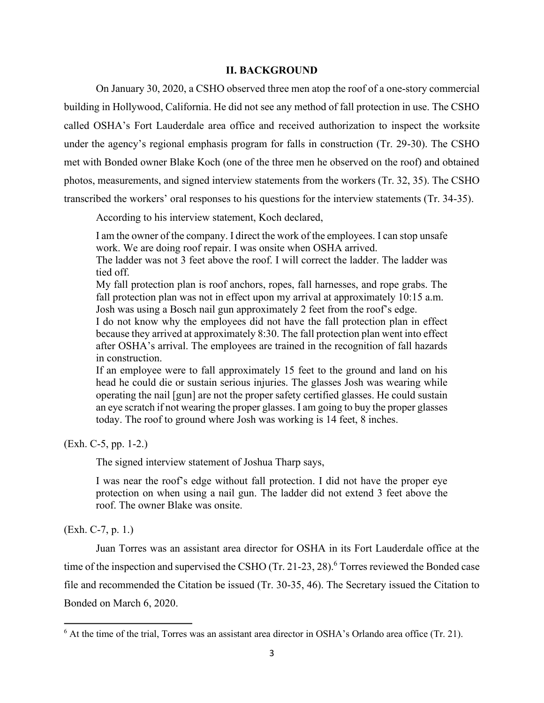#### **II. BACKGROUND**

On January 30, 2020, a CSHO observed three men atop the roof of a one-story commercial building in Hollywood, California. He did not see any method of fall protection in use. The CSHO called OSHA's Fort Lauderdale area office and received authorization to inspect the worksite under the agency's regional emphasis program for falls in construction (Tr. 29-30). The CSHO met with Bonded owner Blake Koch (one of the three men he observed on the roof) and obtained photos, measurements, and signed interview statements from the workers (Tr. 32, 35). The CSHO transcribed the workers' oral responses to his questions for the interview statements (Tr. 34-35).

According to his interview statement, Koch declared,

I am the owner of the company. I direct the work of the employees. I can stop unsafe work. We are doing roof repair. I was onsite when OSHA arrived.

The ladder was not 3 feet above the roof. I will correct the ladder. The ladder was tied off.

My fall protection plan is roof anchors, ropes, fall harnesses, and rope grabs. The fall protection plan was not in effect upon my arrival at approximately 10:15 a.m. Josh was using a Bosch nail gun approximately 2 feet from the roof's edge.

I do not know why the employees did not have the fall protection plan in effect because they arrived at approximately 8:30. The fall protection plan went into effect after OSHA's arrival. The employees are trained in the recognition of fall hazards in construction.

If an employee were to fall approximately 15 feet to the ground and land on his head he could die or sustain serious injuries. The glasses Josh was wearing while operating the nail [gun] are not the proper safety certified glasses. He could sustain an eye scratch if not wearing the proper glasses. I am going to buy the proper glasses today. The roof to ground where Josh was working is 14 feet, 8 inches.

(Exh. C-5, pp. 1-2.)

The signed interview statement of Joshua Tharp says,

I was near the roof's edge without fall protection. I did not have the proper eye protection on when using a nail gun. The ladder did not extend 3 feet above the roof. The owner Blake was onsite.

(Exh. C-7, p. 1.)

Juan Torres was an assistant area director for OSHA in its Fort Lauderdale office at the time of the inspection and supervised the CSHO (Tr. 21-23, 28).<sup>6</sup> Torres reviewed the Bonded case file and recommended the Citation be issued (Tr. 30-35, 46). The Secretary issued the Citation to Bonded on March 6, 2020.

 $6$  At the time of the trial, Torres was an assistant area director in OSHA's Orlando area office (Tr. 21).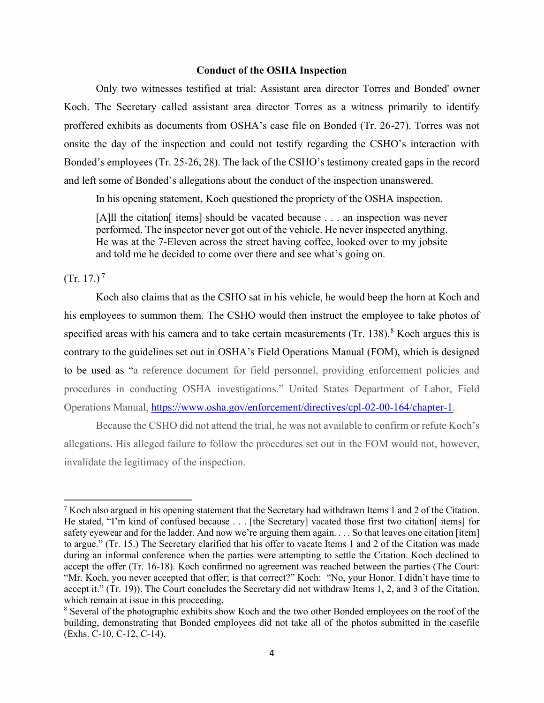# **Conduct of the OSHA Inspection**

Only two witnesses testified at trial: Assistant area director Torres and Bonded' owner Koch. The Secretary called assistant area director Torres as a witness primarily to identify proffered exhibits as documents from OSHA's case file on Bonded (Tr. 26-27). Torres was not onsite the day of the inspection and could not testify regarding the CSHO's interaction with Bonded's employees (Tr. 25-26, 28). The lack of the CSHO's testimony created gaps in the record and left some of Bonded's allegations about the conduct of the inspection unanswered.

In his opening statement, Koch questioned the propriety of the OSHA inspection.

[A]ll the citation [items] should be vacated because . . . an inspection was never performed. The inspector never got out of the vehicle. He never inspected anything. He was at the 7-Eleven across the street having coffee, looked over to my jobsite and told me he decided to come over there and see what's going on.

 $(Tr. 17.)$ <sup>7</sup>

Koch also claims that as the CSHO sat in his vehicle, he would beep the horn at Koch and his employees to summon them. The CSHO would then instruct the employee to take photos of specified areas with his camera and to take certain measurements  $(Tr. 138)$ .<sup>8</sup> Koch argues this is contrary to the guidelines set out in OSHA's Field Operations Manual (FOM), which is designed to be used as "a reference document for field personnel, providing enforcement policies and procedures in conducting OSHA investigations." United States Department of Labor, Field Operations Manual, https://www.osha.gov/enforcement/directives/cpl-02-00-164/chapter-1.

Because the CSHO did not attend the trial, he was not available to confirm or refute Koch's allegations. His alleged failure to follow the procedures set out in the FOM would not, however, invalidate the legitimacy of the inspection.

<sup>&</sup>lt;sup>7</sup> Koch also argued in his opening statement that the Secretary had withdrawn Items 1 and 2 of the Citation. He stated, "I'm kind of confused because . . . [the Secretary] vacated those first two citation[items] for safety eyewear and for the ladder. And now we're arguing them again. . . . So that leaves one citation [item] to argue." (Tr. 15.) The Secretary clarified that his offer to vacate Items 1 and 2 of the Citation was made during an informal conference when the parties were attempting to settle the Citation. Koch declined to accept the offer (Tr. 16-18). Koch confirmed no agreement was reached between the parties (The Court: "Mr. Koch, you never accepted that offer; is that correct?" Koch: "No, your Honor. I didn't have time to accept it." (Tr. 19)). The Court concludes the Secretary did not withdraw Items 1, 2, and 3 of the Citation, which remain at issue in this proceeding.

<sup>8</sup> Several of the photographic exhibits show Koch and the two other Bonded employees on the roof of the building, demonstrating that Bonded employees did not take all of the photos submitted in the casefile (Exhs. C-10, C-12, C-14).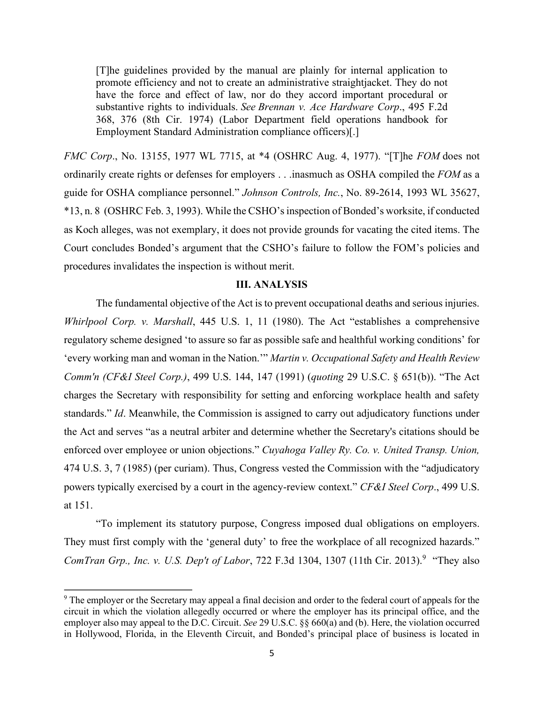[T]he guidelines provided by the manual are plainly for internal application to promote efficiency and not to create an administrative straightjacket. They do not have the force and effect of law, nor do they accord important procedural or substantive rights to individuals. *See Brennan v. Ace Hardware Corp*., 495 F.2d 368, 376 (8th Cir. 1974) (Labor Department field operations handbook for Employment Standard Administration compliance officers)[.]

*FMC Corp*., No. 13155, 1977 WL 7715, at \*4 (OSHRC Aug. 4, 1977). "[T]he *FOM* does not ordinarily create rights or defenses for employers . . .inasmuch as OSHA compiled the *FOM* as a guide for OSHA compliance personnel." *Johnson Controls, Inc.*, No. 89-2614, 1993 WL 35627, \*13, n. 8 (OSHRC Feb. 3, 1993). While the CSHO's inspection of Bonded's worksite, if conducted as Koch alleges, was not exemplary, it does not provide grounds for vacating the cited items. The Court concludes Bonded's argument that the CSHO's failure to follow the FOM's policies and procedures invalidates the inspection is without merit.

### **III. ANALYSIS**

The fundamental objective of the Act is to prevent occupational deaths and serious injuries. *Whirlpool Corp. v. Marshall*, 445 U.S. 1, 11 (1980). The Act "establishes a comprehensive regulatory scheme designed 'to assure so far as possible safe and healthful working conditions' for 'every working man and woman in the Nation.'" *Martin v. Occupational Safety and Health Review Comm'n (CF&I Steel Corp.)*, 499 U.S. 144, 147 (1991) (*quoting* 29 U.S.C. § 651(b)). "The Act charges the Secretary with responsibility for setting and enforcing workplace health and safety standards." *Id*. Meanwhile, the Commission is assigned to carry out adjudicatory functions under the Act and serves "as a neutral arbiter and determine whether the Secretary's citations should be enforced over employee or union objections." *Cuyahoga Valley Ry. Co. v. United Transp. Union,* 474 U.S. 3, 7 (1985) (per curiam). Thus, Congress vested the Commission with the "adjudicatory powers typically exercised by a court in the agency-review context." *CF&I Steel Corp*., 499 U.S. at 151.

"To implement its statutory purpose, Congress imposed dual obligations on employers. They must first comply with the 'general duty' to free the workplace of all recognized hazards." ComTran Grp., Inc. v. U.S. Dep't of Labor, 722 F.3d 1304, 1307 (11th Cir. 2013).<sup>9</sup> "They also

<sup>9</sup> The employer or the Secretary may appeal a final decision and order to the federal court of appeals for the circuit in which the violation allegedly occurred or where the employer has its principal office, and the employer also may appeal to the D.C. Circuit. *See* 29 U.S.C. §§ 660(a) and (b). Here, the violation occurred in Hollywood, Florida, in the Eleventh Circuit, and Bonded's principal place of business is located in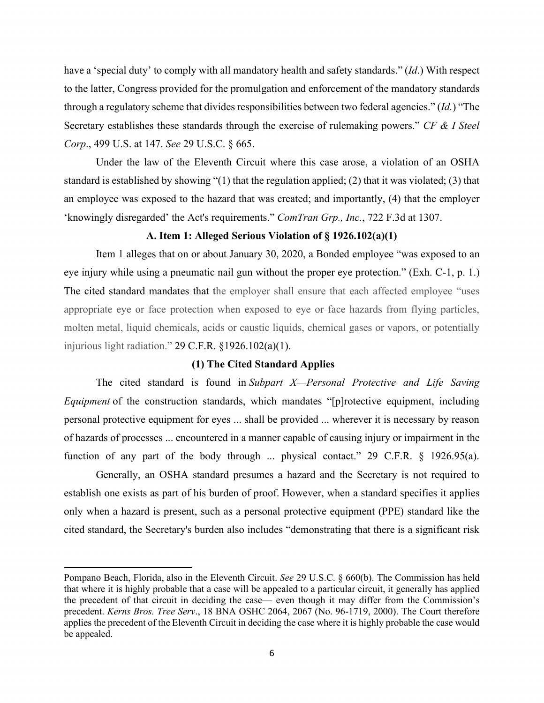have a 'special duty' to comply with all mandatory health and safety standards." (*Id*.) With respect to the latter, Congress provided for the promulgation and enforcement of the mandatory standards through a regulatory scheme that divides responsibilities between two federal agencies." (*Id.*) "The Secretary establishes these standards through the exercise of rulemaking powers." *CF & I Steel Corp*., 499 U.S. at 147. *See* 29 U.S.C. § 665.

Under the law of the Eleventh Circuit where this case arose, a violation of an OSHA standard is established by showing "(1) that the regulation applied; (2) that it was violated; (3) that an employee was exposed to the hazard that was created; and importantly, (4) that the employer 'knowingly disregarded' the Act's requirements." *ComTran Grp., Inc.*, 722 F.3d at 1307.

# **A. Item 1: Alleged Serious Violation of § 1926.102(a)(1)**

Item 1 alleges that on or about January 30, 2020, a Bonded employee "was exposed to an eye injury while using a pneumatic nail gun without the proper eye protection." (Exh. C-1, p. 1.) The cited standard mandates that the employer shall ensure that each affected employee "uses appropriate eye or face protection when exposed to eye or face hazards from flying particles, molten metal, liquid chemicals, acids or caustic liquids, chemical gases or vapors, or potentially injurious light radiation." 29 C.F.R. §1926.102(a)(1).

# **(1) The Cited Standard Applies**

The cited standard is found in *Subpart X—Personal Protective and Life Saving Equipment* of the construction standards, which mandates "[p]rotective equipment, including personal protective equipment for eyes ... shall be provided ... wherever it is necessary by reason of hazards of processes ... encountered in a manner capable of causing injury or impairment in the function of any part of the body through ... physical contact." 29 C.F.R. § 1926.95(a).

Generally, an OSHA standard presumes a hazard and the Secretary is not required to establish one exists as part of his burden of proof. However, when a standard specifies it applies only when a hazard is present, such as a personal protective equipment (PPE) standard like the cited standard, the Secretary's burden also includes "demonstrating that there is a significant risk

Pompano Beach, Florida, also in the Eleventh Circuit. *See* 29 U.S.C. § 660(b). The Commission has held that where it is highly probable that a case will be appealed to a particular circuit, it generally has applied the precedent of that circuit in deciding the case— even though it may differ from the Commission's precedent. *Kerns Bros. Tree Serv*., 18 BNA OSHC 2064, 2067 (No. 96-1719, 2000). The Court therefore applies the precedent of the Eleventh Circuit in deciding the case where it is highly probable the case would be appealed.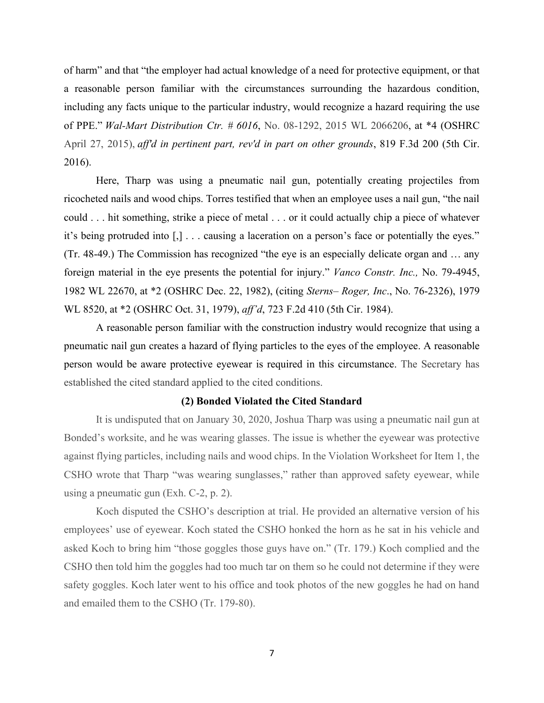of harm" and that "the employer had actual knowledge of a need for protective equipment, or that a reasonable person familiar with the circumstances surrounding the hazardous condition, including any facts unique to the particular industry, would recognize a hazard requiring the use of PPE." *Wal-Mart Distribution Ctr. # 6016*, No. 08-1292, 2015 WL 2066206, at \*4 (OSHRC April 27, 2015), *aff'd in pertinent part, rev'd in part on other grounds*, 819 F.3d 200 (5th Cir. 2016).

Here, Tharp was using a pneumatic nail gun, potentially creating projectiles from ricocheted nails and wood chips. Torres testified that when an employee uses a nail gun, "the nail could . . . hit something, strike a piece of metal . . . or it could actually chip a piece of whatever it's being protruded into [,] . . . causing a laceration on a person's face or potentially the eyes." (Tr. 48-49.) The Commission has recognized "the eye is an especially delicate organ and … any foreign material in the eye presents the potential for injury." *Vanco Constr. Inc.,* No. 79-4945, 1982 WL 22670, at \*2 (OSHRC Dec. 22, 1982), (citing *Sterns– Roger, Inc*., No. 76-2326), 1979 WL 8520, at \*2 (OSHRC Oct. 31, 1979), *aff'd*, 723 F.2d 410 (5th Cir. 1984).

A reasonable person familiar with the construction industry would recognize that using a pneumatic nail gun creates a hazard of flying particles to the eyes of the employee. A reasonable person would be aware protective eyewear is required in this circumstance. The Secretary has established the cited standard applied to the cited conditions.

### **(2) Bonded Violated the Cited Standard**

It is undisputed that on January 30, 2020, Joshua Tharp was using a pneumatic nail gun at Bonded's worksite, and he was wearing glasses. The issue is whether the eyewear was protective against flying particles, including nails and wood chips. In the Violation Worksheet for Item 1, the CSHO wrote that Tharp "was wearing sunglasses," rather than approved safety eyewear, while using a pneumatic gun (Exh. C-2, p. 2).

Koch disputed the CSHO's description at trial. He provided an alternative version of his employees' use of eyewear. Koch stated the CSHO honked the horn as he sat in his vehicle and asked Koch to bring him "those goggles those guys have on." (Tr. 179.) Koch complied and the CSHO then told him the goggles had too much tar on them so he could not determine if they were safety goggles. Koch later went to his office and took photos of the new goggles he had on hand and emailed them to the CSHO (Tr. 179-80).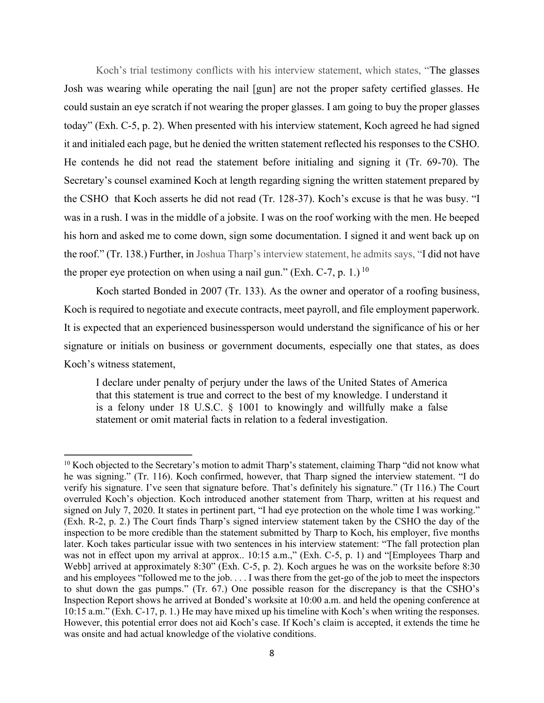Koch's trial testimony conflicts with his interview statement, which states, "The glasses Josh was wearing while operating the nail [gun] are not the proper safety certified glasses. He could sustain an eye scratch if not wearing the proper glasses. I am going to buy the proper glasses today" (Exh. C-5, p. 2). When presented with his interview statement, Koch agreed he had signed it and initialed each page, but he denied the written statement reflected his responses to the CSHO. He contends he did not read the statement before initialing and signing it (Tr. 69-70). The Secretary's counsel examined Koch at length regarding signing the written statement prepared by the CSHO that Koch asserts he did not read (Tr. 128-37). Koch's excuse is that he was busy. "I was in a rush. I was in the middle of a jobsite. I was on the roof working with the men. He beeped his horn and asked me to come down, sign some documentation. I signed it and went back up on the roof." (Tr. 138.) Further, in Joshua Tharp's interview statement, he admits says, "I did not have the proper eye protection on when using a nail gun." (Exh. C-7, p. 1.)  $^{10}$ 

Koch started Bonded in 2007 (Tr. 133). As the owner and operator of a roofing business, Koch is required to negotiate and execute contracts, meet payroll, and file employment paperwork. It is expected that an experienced businessperson would understand the significance of his or her signature or initials on business or government documents, especially one that states, as does Koch's witness statement,

I declare under penalty of perjury under the laws of the United States of America that this statement is true and correct to the best of my knowledge. I understand it is a felony under 18 U.S.C. § 1001 to knowingly and willfully make a false statement or omit material facts in relation to a federal investigation.

<sup>&</sup>lt;sup>10</sup> Koch objected to the Secretary's motion to admit Tharp's statement, claiming Tharp "did not know what he was signing." (Tr. 116). Koch confirmed, however, that Tharp signed the interview statement. "I do verify his signature. I've seen that signature before. That's definitely his signature." (Tr 116.) The Court overruled Koch's objection. Koch introduced another statement from Tharp, written at his request and signed on July 7, 2020. It states in pertinent part, "I had eye protection on the whole time I was working." (Exh. R-2, p. 2.) The Court finds Tharp's signed interview statement taken by the CSHO the day of the inspection to be more credible than the statement submitted by Tharp to Koch, his employer, five months later. Koch takes particular issue with two sentences in his interview statement: "The fall protection plan was not in effect upon my arrival at approx.. 10:15 a.m.," (Exh. C-5, p. 1) and "[Employees Tharp and Webb] arrived at approximately 8:30" (Exh. C-5, p. 2). Koch argues he was on the worksite before 8:30 and his employees "followed me to the job. . . . I was there from the get-go of the job to meet the inspectors to shut down the gas pumps." (Tr. 67.) One possible reason for the discrepancy is that the CSHO's Inspection Report shows he arrived at Bonded's worksite at 10:00 a.m. and held the opening conference at 10:15 a.m." (Exh. C-17, p. 1.) He may have mixed up his timeline with Koch's when writing the responses. However, this potential error does not aid Koch's case. If Koch's claim is accepted, it extends the time he was onsite and had actual knowledge of the violative conditions.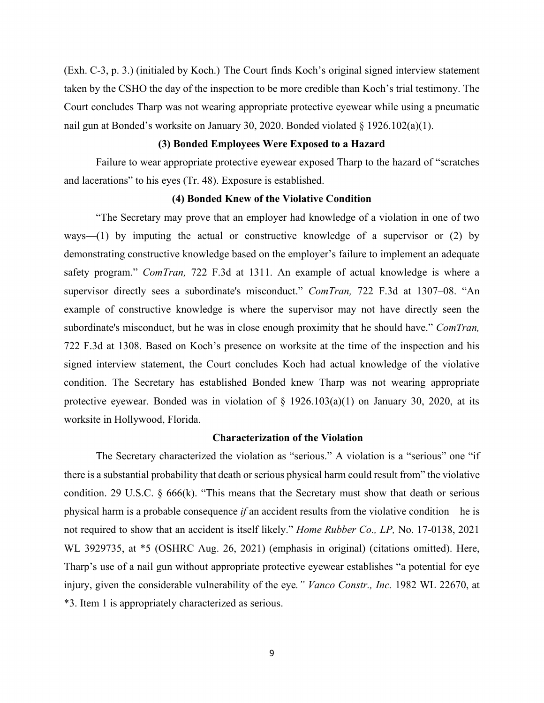(Exh. C-3, p. 3.) (initialed by Koch.) The Court finds Koch's original signed interview statement taken by the CSHO the day of the inspection to be more credible than Koch's trial testimony. The Court concludes Tharp was not wearing appropriate protective eyewear while using a pneumatic nail gun at Bonded's worksite on January 30, 2020. Bonded violated § 1926.102(a)(1).

# **(3) Bonded Employees Were Exposed to a Hazard**

Failure to wear appropriate protective eyewear exposed Tharp to the hazard of "scratches and lacerations" to his eyes (Tr. 48). Exposure is established.

# **(4) Bonded Knew of the Violative Condition**

"The Secretary may prove that an employer had knowledge of a violation in one of two ways—(1) by imputing the actual or constructive knowledge of a supervisor or (2) by demonstrating constructive knowledge based on the employer's failure to implement an adequate safety program." *ComTran,* 722 F.3d at 1311. An example of actual knowledge is where a supervisor directly sees a subordinate's misconduct." *ComTran,* 722 F.3d at 1307–08. "An example of constructive knowledge is where the supervisor may not have directly seen the subordinate's misconduct, but he was in close enough proximity that he should have." *ComTran,* 722 F.3d at 1308. Based on Koch's presence on worksite at the time of the inspection and his signed interview statement, the Court concludes Koch had actual knowledge of the violative condition. The Secretary has established Bonded knew Tharp was not wearing appropriate protective eyewear. Bonded was in violation of  $\S$  1926.103(a)(1) on January 30, 2020, at its worksite in Hollywood, Florida.

#### **Characterization of the Violation**

The Secretary characterized the violation as "serious." A violation is a "serious" one "if there is a substantial probability that death or serious physical harm could result from" the violative condition. 29 U.S.C.  $\S$  666(k). "This means that the Secretary must show that death or serious physical harm is a probable consequence *if* an accident results from the violative condition—he is not required to show that an accident is itself likely." *Home Rubber Co., LP,* No. 17-0138, 2021 WL 3929735, at \*5 (OSHRC Aug. 26, 2021) (emphasis in original) (citations omitted). Here, Tharp's use of a nail gun without appropriate protective eyewear establishes "a potential for eye injury, given the considerable vulnerability of the eye*." Vanco Constr., Inc.* 1982 WL 22670, at \*3. Item 1 is appropriately characterized as serious.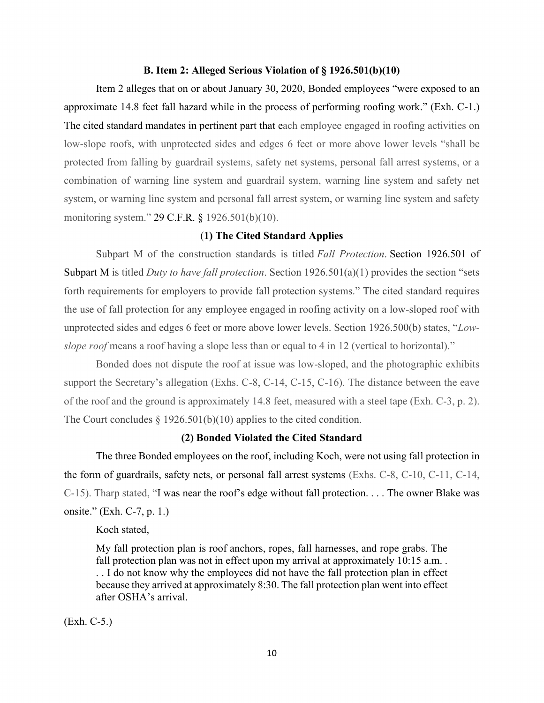## **B. Item 2: Alleged Serious Violation of § 1926.501(b)(10)**

Item 2 alleges that on or about January 30, 2020, Bonded employees "were exposed to an approximate 14.8 feet fall hazard while in the process of performing roofing work." (Exh. C-1.) The cited standard mandates in pertinent part that each employee engaged in roofing activities on low-slope roofs, with unprotected sides and edges 6 feet or more above lower levels "shall be protected from falling by guardrail systems, safety net systems, personal fall arrest systems, or a combination of warning line system and guardrail system, warning line system and safety net system, or warning line system and personal fall arrest system, or warning line system and safety monitoring system." 29 C.F.R. § 1926.501(b)(10).

# (**1) The Cited Standard Applies**

Subpart M of the construction standards is titled *Fall Protection*. Section 1926.501 of Subpart M is titled *Duty to have fall protection*. Section 1926.501(a)(1) provides the section "sets forth requirements for employers to provide fall protection systems." The cited standard requires the use of fall protection for any employee engaged in roofing activity on a low-sloped roof with unprotected sides and edges 6 feet or more above lower levels. Section 1926.500(b) states, "*Lowslope roof* means a roof having a slope less than or equal to 4 in 12 (vertical to horizontal)."

Bonded does not dispute the roof at issue was low-sloped, and the photographic exhibits support the Secretary's allegation (Exhs. C-8, C-14, C-15, C-16). The distance between the eave of the roof and the ground is approximately 14.8 feet, measured with a steel tape (Exh. C-3, p. 2). The Court concludes  $\S 1926.501(b)(10)$  applies to the cited condition.

# **(2) Bonded Violated the Cited Standard**

The three Bonded employees on the roof, including Koch, were not using fall protection in the form of guardrails, safety nets, or personal fall arrest systems (Exhs. C-8, C-10, C-11, C-14, C-15). Tharp stated, "I was near the roof's edge without fall protection. . . . The owner Blake was onsite." (Exh. C-7, p. 1.)

Koch stated,

My fall protection plan is roof anchors, ropes, fall harnesses, and rope grabs. The fall protection plan was not in effect upon my arrival at approximately 10:15 a.m. . . . I do not know why the employees did not have the fall protection plan in effect because they arrived at approximately 8:30. The fall protection plan went into effect after OSHA's arrival.

(Exh. C-5.)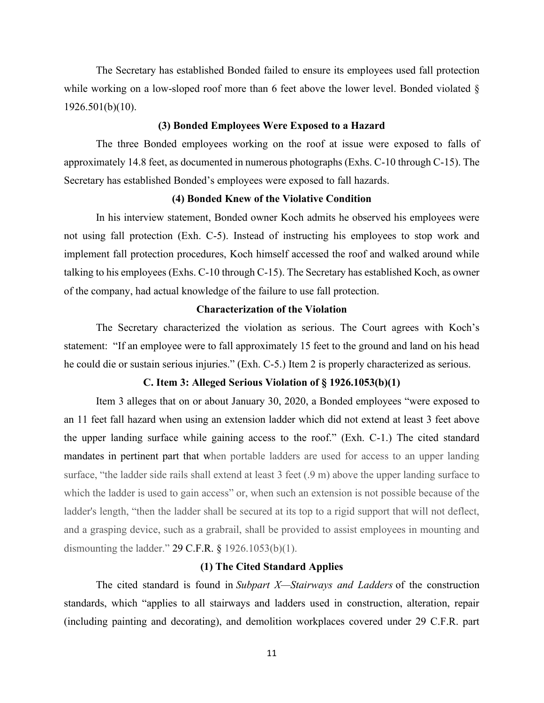The Secretary has established Bonded failed to ensure its employees used fall protection while working on a low-sloped roof more than 6 feet above the lower level. Bonded violated  $\delta$ 1926.501(b)(10).

#### **(3) Bonded Employees Were Exposed to a Hazard**

The three Bonded employees working on the roof at issue were exposed to falls of approximately 14.8 feet, as documented in numerous photographs (Exhs. C-10 through C-15). The Secretary has established Bonded's employees were exposed to fall hazards.

#### **(4) Bonded Knew of the Violative Condition**

In his interview statement, Bonded owner Koch admits he observed his employees were not using fall protection (Exh. C-5). Instead of instructing his employees to stop work and implement fall protection procedures, Koch himself accessed the roof and walked around while talking to his employees (Exhs. C-10 through C-15). The Secretary has established Koch, as owner of the company, had actual knowledge of the failure to use fall protection.

# **Characterization of the Violation**

The Secretary characterized the violation as serious. The Court agrees with Koch's statement: "If an employee were to fall approximately 15 feet to the ground and land on his head he could die or sustain serious injuries." (Exh. C-5.) Item 2 is properly characterized as serious.

# **C. Item 3: Alleged Serious Violation of § 1926.1053(b)(1)**

Item 3 alleges that on or about January 30, 2020, a Bonded employees "were exposed to an 11 feet fall hazard when using an extension ladder which did not extend at least 3 feet above the upper landing surface while gaining access to the roof." (Exh. C-1.) The cited standard mandates in pertinent part that when portable ladders are used for access to an upper landing surface, "the ladder side rails shall extend at least 3 feet (.9 m) above the upper landing surface to which the ladder is used to gain access" or, when such an extension is not possible because of the ladder's length, "then the ladder shall be secured at its top to a rigid support that will not deflect, and a grasping device, such as a grabrail, shall be provided to assist employees in mounting and dismounting the ladder." 29 C.F.R. § 1926.1053(b)(1).

# **(1) The Cited Standard Applies**

The cited standard is found in *Subpart X—Stairways and Ladders* of the construction standards, which "applies to all stairways and ladders used in construction, alteration, repair (including painting and decorating), and demolition workplaces covered under 29 C.F.R. part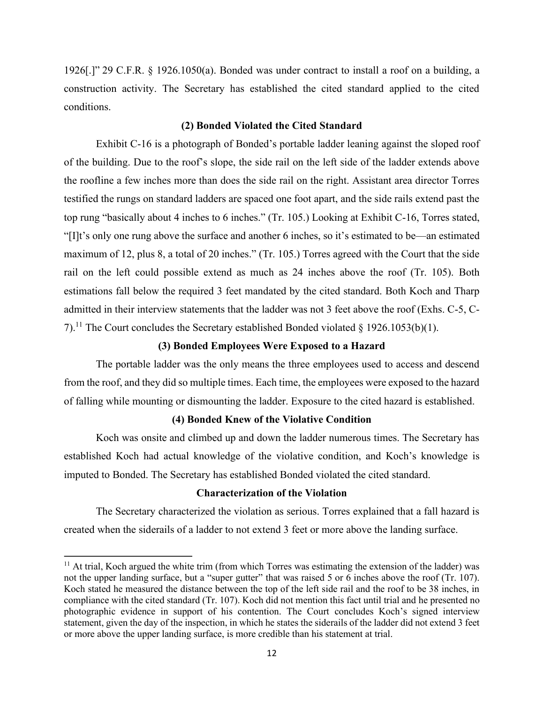1926[.]" 29 C.F.R. § 1926.1050(a). Bonded was under contract to install a roof on a building, a construction activity. The Secretary has established the cited standard applied to the cited conditions.

## **(2) Bonded Violated the Cited Standard**

Exhibit C-16 is a photograph of Bonded's portable ladder leaning against the sloped roof of the building. Due to the roof's slope, the side rail on the left side of the ladder extends above the roofline a few inches more than does the side rail on the right. Assistant area director Torres testified the rungs on standard ladders are spaced one foot apart, and the side rails extend past the top rung "basically about 4 inches to 6 inches." (Tr. 105.) Looking at Exhibit C-16, Torres stated, "[I]t's only one rung above the surface and another 6 inches, so it's estimated to be—an estimated maximum of 12, plus 8, a total of 20 inches." (Tr. 105.) Torres agreed with the Court that the side rail on the left could possible extend as much as 24 inches above the roof (Tr. 105). Both estimations fall below the required 3 feet mandated by the cited standard. Both Koch and Tharp admitted in their interview statements that the ladder was not 3 feet above the roof (Exhs. C-5, C-7).<sup>11</sup> The Court concludes the Secretary established Bonded violated  $\S$  1926.1053(b)(1).

# **(3) Bonded Employees Were Exposed to a Hazard**

The portable ladder was the only means the three employees used to access and descend from the roof, and they did so multiple times. Each time, the employees were exposed to the hazard of falling while mounting or dismounting the ladder. Exposure to the cited hazard is established.

# **(4) Bonded Knew of the Violative Condition**

Koch was onsite and climbed up and down the ladder numerous times. The Secretary has established Koch had actual knowledge of the violative condition, and Koch's knowledge is imputed to Bonded. The Secretary has established Bonded violated the cited standard.

# **Characterization of the Violation**

The Secretary characterized the violation as serious. Torres explained that a fall hazard is created when the siderails of a ladder to not extend 3 feet or more above the landing surface.

 $11$  At trial, Koch argued the white trim (from which Torres was estimating the extension of the ladder) was not the upper landing surface, but a "super gutter" that was raised 5 or 6 inches above the roof (Tr. 107). Koch stated he measured the distance between the top of the left side rail and the roof to be 38 inches, in compliance with the cited standard (Tr. 107). Koch did not mention this fact until trial and he presented no photographic evidence in support of his contention. The Court concludes Koch's signed interview statement, given the day of the inspection, in which he states the siderails of the ladder did not extend 3 feet or more above the upper landing surface, is more credible than his statement at trial.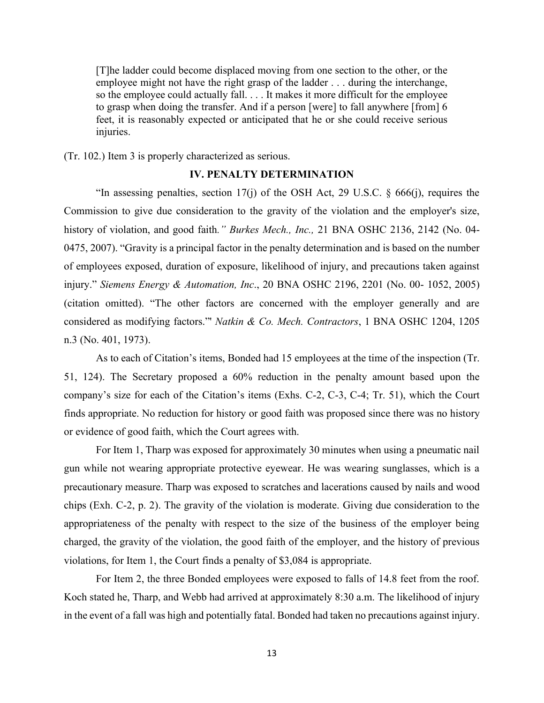[T]he ladder could become displaced moving from one section to the other, or the employee might not have the right grasp of the ladder . . . during the interchange, so the employee could actually fall. . . . It makes it more difficult for the employee to grasp when doing the transfer. And if a person [were] to fall anywhere [from] 6 feet, it is reasonably expected or anticipated that he or she could receive serious injuries.

(Tr. 102.) Item 3 is properly characterized as serious.

# **IV. PENALTY DETERMINATION**

"In assessing penalties, section 17(j) of the OSH Act, 29 U.S.C. § 666(j), requires the Commission to give due consideration to the gravity of the violation and the employer's size, history of violation, and good faith*." Burkes Mech., Inc.,* 21 BNA OSHC 2136, 2142 (No. 04- 0475, 2007). "Gravity is a principal factor in the penalty determination and is based on the number of employees exposed, duration of exposure, likelihood of injury, and precautions taken against injury." *Siemens Energy & Automation, Inc*., 20 BNA OSHC 2196, 2201 (No. 00- 1052, 2005) (citation omitted). "The other factors are concerned with the employer generally and are considered as modifying factors."' *Natkin & Co. Mech. Contractors*, 1 BNA OSHC 1204, 1205 n.3 (No. 401, 1973).

As to each of Citation's items, Bonded had 15 employees at the time of the inspection (Tr. 51, 124). The Secretary proposed a 60% reduction in the penalty amount based upon the company's size for each of the Citation's items (Exhs. C-2, C-3, C-4; Tr. 51), which the Court finds appropriate. No reduction for history or good faith was proposed since there was no history or evidence of good faith, which the Court agrees with.

For Item 1, Tharp was exposed for approximately 30 minutes when using a pneumatic nail gun while not wearing appropriate protective eyewear. He was wearing sunglasses, which is a precautionary measure. Tharp was exposed to scratches and lacerations caused by nails and wood chips (Exh. C-2, p. 2). The gravity of the violation is moderate. Giving due consideration to the appropriateness of the penalty with respect to the size of the business of the employer being charged, the gravity of the violation, the good faith of the employer, and the history of previous violations, for Item 1, the Court finds a penalty of \$3,084 is appropriate.

For Item 2, the three Bonded employees were exposed to falls of 14.8 feet from the roof. Koch stated he, Tharp, and Webb had arrived at approximately 8:30 a.m. The likelihood of injury in the event of a fall was high and potentially fatal. Bonded had taken no precautions against injury.